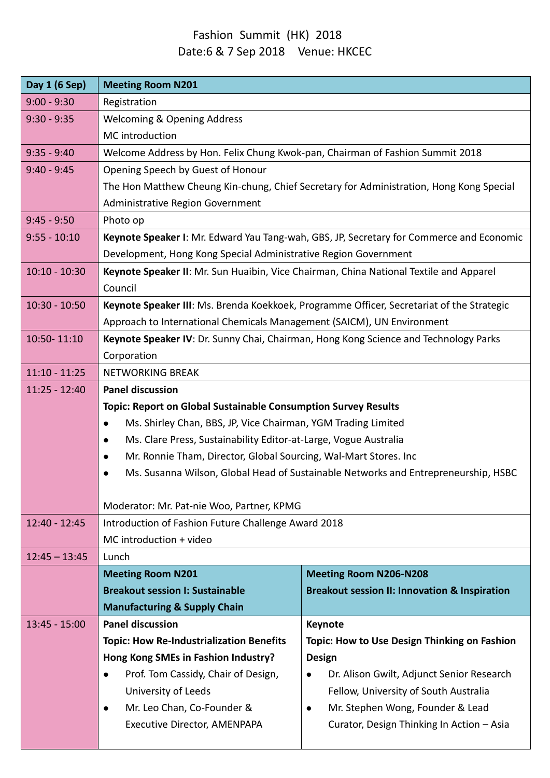## Fashion Summit (HK) 2018 Date:6 & 7 Sep 2018 Venue: HKCEC

| Day 1 (6 Sep)   | <b>Meeting Room N201</b>                                                                         |                                                          |  |
|-----------------|--------------------------------------------------------------------------------------------------|----------------------------------------------------------|--|
| $9:00 - 9:30$   | Registration                                                                                     |                                                          |  |
| $9:30 - 9:35$   | <b>Welcoming &amp; Opening Address</b>                                                           |                                                          |  |
|                 | MC introduction                                                                                  |                                                          |  |
| $9:35 - 9:40$   | Welcome Address by Hon. Felix Chung Kwok-pan, Chairman of Fashion Summit 2018                    |                                                          |  |
| $9:40 - 9:45$   | Opening Speech by Guest of Honour                                                                |                                                          |  |
|                 | The Hon Matthew Cheung Kin-chung, Chief Secretary for Administration, Hong Kong Special          |                                                          |  |
|                 | Administrative Region Government                                                                 |                                                          |  |
| $9:45 - 9:50$   | Photo op                                                                                         |                                                          |  |
| $9:55 - 10:10$  | Keynote Speaker I: Mr. Edward Yau Tang-wah, GBS, JP, Secretary for Commerce and Economic         |                                                          |  |
|                 | Development, Hong Kong Special Administrative Region Government                                  |                                                          |  |
| $10:10 - 10:30$ | Keynote Speaker II: Mr. Sun Huaibin, Vice Chairman, China National Textile and Apparel           |                                                          |  |
|                 | Council                                                                                          |                                                          |  |
| $10:30 - 10:50$ | Keynote Speaker III: Ms. Brenda Koekkoek, Programme Officer, Secretariat of the Strategic        |                                                          |  |
|                 | Approach to International Chemicals Management (SAICM), UN Environment                           |                                                          |  |
| 10:50-11:10     | Keynote Speaker IV: Dr. Sunny Chai, Chairman, Hong Kong Science and Technology Parks             |                                                          |  |
|                 | Corporation                                                                                      |                                                          |  |
| $11:10 - 11:25$ | <b>NETWORKING BREAK</b>                                                                          |                                                          |  |
| $11:25 - 12:40$ | <b>Panel discussion</b>                                                                          |                                                          |  |
|                 | <b>Topic: Report on Global Sustainable Consumption Survey Results</b>                            |                                                          |  |
|                 | Ms. Shirley Chan, BBS, JP, Vice Chairman, YGM Trading Limited                                    |                                                          |  |
|                 | Ms. Clare Press, Sustainability Editor-at-Large, Vogue Australia<br>$\bullet$                    |                                                          |  |
|                 | Mr. Ronnie Tham, Director, Global Sourcing, Wal-Mart Stores. Inc<br>$\bullet$                    |                                                          |  |
|                 | Ms. Susanna Wilson, Global Head of Sustainable Networks and Entrepreneurship, HSBC               |                                                          |  |
|                 |                                                                                                  |                                                          |  |
| $12:40 - 12:45$ | Moderator: Mr. Pat-nie Woo, Partner, KPMG<br>Introduction of Fashion Future Challenge Award 2018 |                                                          |  |
|                 | MC introduction + video                                                                          |                                                          |  |
| $12:45 - 13:45$ | Lunch                                                                                            |                                                          |  |
|                 | <b>Meeting Room N201</b>                                                                         | <b>Meeting Room N206-N208</b>                            |  |
|                 | <b>Breakout session I: Sustainable</b>                                                           | <b>Breakout session II: Innovation &amp; Inspiration</b> |  |
|                 | <b>Manufacturing &amp; Supply Chain</b>                                                          |                                                          |  |
| $13:45 - 15:00$ | <b>Panel discussion</b>                                                                          | <b>Keynote</b>                                           |  |
|                 | <b>Topic: How Re-Industrialization Benefits</b>                                                  | Topic: How to Use Design Thinking on Fashion             |  |
|                 | Hong Kong SMEs in Fashion Industry?                                                              | <b>Design</b>                                            |  |
|                 | Prof. Tom Cassidy, Chair of Design,                                                              | Dr. Alison Gwilt, Adjunct Senior Research                |  |
|                 | University of Leeds                                                                              | Fellow, University of South Australia                    |  |
|                 | Mr. Leo Chan, Co-Founder &<br>$\bullet$                                                          | Mr. Stephen Wong, Founder & Lead                         |  |
|                 | Executive Director, AMENPAPA                                                                     | Curator, Design Thinking In Action - Asia                |  |
|                 |                                                                                                  |                                                          |  |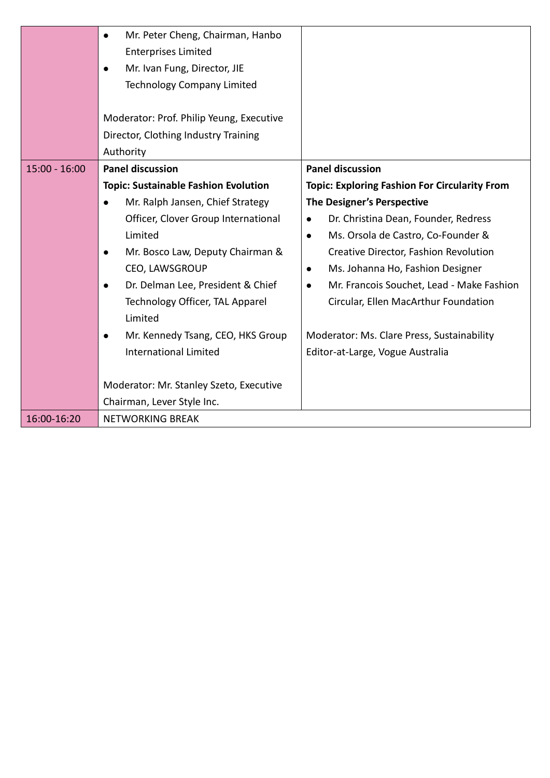|                 | Mr. Peter Cheng, Chairman, Hanbo<br>$\bullet$<br><b>Enterprises Limited</b><br>Mr. Ivan Fung, Director, JIE                        |                                                        |
|-----------------|------------------------------------------------------------------------------------------------------------------------------------|--------------------------------------------------------|
|                 | <b>Technology Company Limited</b><br>Moderator: Prof. Philip Yeung, Executive<br>Director, Clothing Industry Training<br>Authority |                                                        |
| $15:00 - 16:00$ | <b>Panel discussion</b>                                                                                                            | <b>Panel discussion</b>                                |
|                 | <b>Topic: Sustainable Fashion Evolution</b>                                                                                        | <b>Topic: Exploring Fashion For Circularity From</b>   |
|                 | Mr. Ralph Jansen, Chief Strategy<br>$\bullet$                                                                                      | The Designer's Perspective                             |
|                 | Officer, Clover Group International                                                                                                | Dr. Christina Dean, Founder, Redress<br>$\bullet$      |
|                 | Limited                                                                                                                            | Ms. Orsola de Castro, Co-Founder &<br>$\bullet$        |
|                 | Mr. Bosco Law, Deputy Chairman &                                                                                                   | Creative Director, Fashion Revolution                  |
|                 | CEO, LAWSGROUP                                                                                                                     | Ms. Johanna Ho, Fashion Designer<br>$\bullet$          |
|                 | Dr. Delman Lee, President & Chief<br>$\bullet$                                                                                     | Mr. Francois Souchet, Lead - Make Fashion<br>$\bullet$ |
|                 | Technology Officer, TAL Apparel<br>Limited                                                                                         | Circular, Ellen MacArthur Foundation                   |
|                 | Mr. Kennedy Tsang, CEO, HKS Group<br>$\bullet$                                                                                     | Moderator: Ms. Clare Press, Sustainability             |
|                 | <b>International Limited</b>                                                                                                       | Editor-at-Large, Vogue Australia                       |
|                 | Moderator: Mr. Stanley Szeto, Executive                                                                                            |                                                        |
|                 | Chairman, Lever Style Inc.                                                                                                         |                                                        |
| 16:00-16:20     | <b>NETWORKING BREAK</b>                                                                                                            |                                                        |